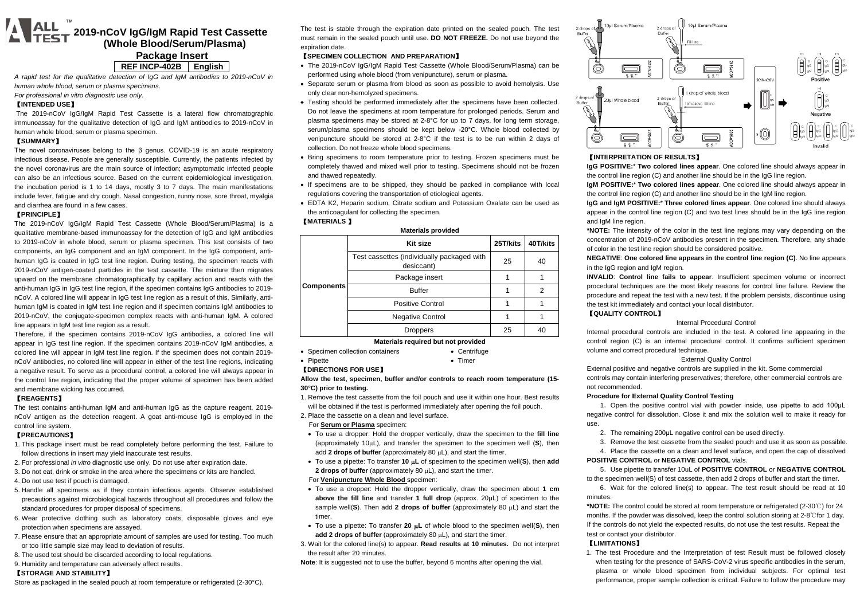# **WHEE** 2019-nCoV IgG/IgM Rapid Test Cassette  **(Whole Blood/Serum/Plasma) Package Insert**

### **REF INCP-402B English**

*A rapid test for the qualitative detection of IgG and IgM antibodies to 2019-nCoV in human whole blood, serum or plasma specimens.*

*For professional in vitro diagnostic use only.*

## 【**INTENDED USE**】

The 2019-nCoV IgG/IgM Rapid Test Cassette is a lateral flow chromatographic immunoassay for the qualitative detection of IgG and IgM antibodies to 2019-nCoV in human whole blood, serum or plasma specimen.

#### 【**SUMMARY**】

The novel coronaviruses belong to the β genus. COVID-19 is an acute respiratory infectious disease. People are generally susceptible. Currently, the patients infected by the novel coronavirus are the main source of infection; asymptomatic infected people can also be an infectious source. Based on the current epidemiological investigation, the incubation period is 1 to 14 days, mostly 3 to 7 days. The main manifestations include fever, fatigue and dry cough. Nasal congestion, runny nose, sore throat, myalgia and diarrhea are found in a few cases.

#### 【**PRINCIPLE**】

The 2019-nCoV IgG/IgM Rapid Test Cassette (Whole Blood/Serum/Plasma) is a qualitative membrane-based immunoassay for the detection of IgG and IgM antibodies to 2019-nCoV in whole blood, serum or plasma specimen. This test consists of two components, an IgG component and an IgM component. In the IgG component, antihuman IgG is coated in IgG test line region. During testing, the specimen reacts with 2019-nCoV antigen-coated particles in the test cassette. The mixture then migrates upward on the membrane chromatographically by capillary action and reacts with the anti-human IgG in IgG test line region, if the specimen contains IgG antibodies to 2019 nCoV. A colored line will appear in IgG test line region as a result of this. Similarly, antihuman IgM is coated in IgM test line region and if specimen contains IgM antibodies to 2019-nCoV, the conjugate-specimen complex reacts with anti-human IgM. A colored line appears in IgM test line region as a result.

Therefore, if the specimen contains 2019-nCoV IgG antibodies, a colored line will appear in IgG test line region. If the specimen contains 2019-nCoV IgM antibodies, a colored line will appear in IgM test line region. If the specimen does not contain 2019 nCoV antibodies, no colored line will appear in either of the test line regions, indicating a negative result. To serve as a procedural control, a colored line will always appear in the control line region, indicating that the proper volume of specimen has been added and membrane wicking has occurred.

### 【**REAGENTS**】

The test contains anti-human IgM and anti-human IgG as the capture reagent, 2019 nCoV antigen as the detection reagent. A goat anti-mouse IgG is employed in the control line system.

## 【**PRECAUTIONS**】

- 1. This package insert must be read completely before performing the test. Failure to follow directions in insert may yield inaccurate test results.
- 2. For professional *in vitro* diagnostic use only. Do not use after expiration date.
- 3. Do not eat, drink or smoke in the area where the specimens or kits are handled.
- 4. Do not use test if pouch is damaged.
- 5. Handle all specimens as if they contain infectious agents. Observe established precautions against microbiological hazards throughout all procedures and follow the standard procedures for proper disposal of specimens.
- 6. Wear protective clothing such as laboratory coats, disposable gloves and eye protection when specimens are assayed.
- 7. Please ensure that an appropriate amount of samples are used for testing. Too much or too little sample size may lead to deviation of results.
- 8. The used test should be discarded according to local regulations.
- 9. Humidity and temperature can adversely affect results.

## 【**STORAGE AND STABILITY**】

The test is stable through the expiration date printed on the sealed pouch. The test must remain in the sealed pouch until use. **DO NOT FREEZE.** Do not use beyond the expiration date.

# 【**SPECIMEN COLLECTION AND PREPARATION**】

- The 2019-nCoV IgG/IgM Rapid Test Cassette (Whole Blood/Serum/Plasma) can be performed using whole blood (from venipuncture), serum or plasma.
- Separate serum or plasma from blood as soon as possible to avoid hemolysis. Use only clear non-hemolyzed specimens.
- Testing should be performed immediately after the specimens have been collected. Do not leave the specimens at room temperature for prolonged periods. Serum and plasma specimens may be stored at 2-8°C for up to 7 days, for long term storage, serum/plasma specimens should be kept below -20°C. Whole blood collected by venipuncture should be stored at 2-8°C if the test is to be run within 2 days of collection. Do not freeze whole blood specimens.
- Bring specimens to room temperature prior to testing. Frozen specimens must be completely thawed and mixed well prior to testing. Specimens should not be frozen and thawed repeatedly.
- If specimens are to be shipped, they should be packed in compliance with local regulations covering the transportation of etiological agents.
- EDTA K2, Heparin sodium, Citrate sodium and Potassium Oxalate can be used as the anticoagulant for collecting the specimen.

## 【**MATERIALS** 】

| <b>Materials provided</b> |                                                          |          |          |  |  |
|---------------------------|----------------------------------------------------------|----------|----------|--|--|
| <b>Components</b>         | Kit size                                                 | 25T/kits | 40T/kits |  |  |
|                           | Test cassettes (individually packaged with<br>desiccant) | 25       | 40       |  |  |
|                           | Package insert                                           |          |          |  |  |
|                           | <b>Buffer</b>                                            |          | 2        |  |  |
|                           | <b>Positive Control</b>                                  |          |          |  |  |
|                           | <b>Negative Control</b>                                  |          |          |  |  |
|                           | <b>Droppers</b>                                          | 25       | 40       |  |  |

## **Materials required but not provided**

- Specimen collection containers • Centrifuge
- Pipette • Timer

# 【**DIRECTIONS FOR USE**】

#### **Allow the test, specimen, buffer and/or controls to reach room temperature (15- 30°C) prior to testing.**

- 1. Remove the test cassette from the foil pouch and use it within one hour. Best results will be obtained if the test is performed immediately after opening the foil pouch.
- 2. Place the cassette on a clean and level surface.
- For **Serum or Plasma** specimen:
- To use a dropper: Hold the dropper vertically, draw the specimen to the **fill line** (approximately 10µL), and transfer the specimen to the specimen well (**S**), then add 2 drops of buffer (approximately 80  $\mu$ L), and start the timer.
- To use a pipette: To transfer **10** µ**L** of specimen to the specimen well(**S**), then **add 2 drops of buffer** (approximately 80 µL), and start the timer.
- For **Venipuncture Whole Blood** specimen:
- To use a dropper: Hold the dropper vertically, draw the specimen about **1 cm above the fill line** and transfer **1 full drop** (approx. 20μL) of specimen to the sample well(**S**). Then add **2 drops of buffer** (approximately 80 µL) and start the timer.
- To use a pipette: To transfer **20** µ**L** of whole blood to the specimen well(**S**), then **add 2 drops of buffer** (approximately 80 µL), and start the timer.
- 3. Wait for the colored line(s) to appear. **Read results at 10 minutes.** Do not interpret the result after 20 minutes.

**Note**: It is suggested not to use the buffer, beyond 6 months after opening the vial.



# 【**INTERPRETATION OF RESULTS**】

**IgG POSITIVE:**\* **Two colored lines appear**. One colored line should always appear in the control line region (C) and another line should be in the IgG line region.

**IgM POSITIVE:**\* **Two colored lines appear**. One colored line should always appear in the control line region (C) and another line should be in the IgM line region.

**IgG and IgM POSITIVE:**\* **Three colored lines appear**. One colored line should always appear in the control line region (C) and two test lines should be in the IgG line region and IgM line region.

**\*NOTE:** The intensity of the color in the test line regions may vary depending on the concentration of 2019-nCoV antibodies present in the specimen. Therefore, any shade of color in the test line region should be considered positive.

**NEGATIVE**: **One colored line appears in the control line region (C)**. No line appears in the IgG region and IgM region.

**INVALID**: **Control line fails to appear**. Insufficient specimen volume or incorrect procedural techniques are the most likely reasons for control line failure. Review the procedure and repeat the test with a new test. If the problem persists, discontinue using the test kit immediately and contact your local distributor.

# 【**QUALITY CONTROL**】

Internal Procedural Control

Internal procedural controls are included in the test. A colored line appearing in the control region (C) is an internal procedural control. It confirms sufficient specimen volume and correct procedural technique.

#### External Quality Control

External positive and negative controls are supplied in the kit. Some commercial controls may contain interfering preservatives; therefore, other commercial controls are not recommended.

#### **Procedure for External Quality Control Testing**

1. Open the positive control vial with powder inside, use pipette to add 100µL negative control for dissolution. Close it and mix the solution well to make it ready for use.

- 2.The remaining 200μL negative control can be used directly.
- 3.Remove the test cassette from the sealed pouch and use it as soon as possible.
- 4.Place the cassette on a clean and level surface, and open the cap of dissolved

#### **POSITIVE CONTROL** or **NEGATIVE CONTROL** vials.

5.Use pipette to transfer 10uL of **POSITIVE CONTROL** or **NEGATIVE CONTROL** to the specimen well(S) of test cassette, then add 2 drops of buffer and start the timer.

6.Wait for the colored line(s) to appear. The test result should be read at 10 minutes.

**\*NOTE:** The control could be stored at room temperature or refrigerated (2-30℃) for 24 months. If the powder was dissolved, keep the control solution storing at 2-8℃for 1 day. If the controls do not yield the expected results, do not use the test results. Repeat the test or contact your distributor.

#### 【**LIMITATIONS**】

1. The test Procedure and the Interpretation of test Result must be followed closely when testing for the presence of SARS-CoV-2 virus specific antibodies in the serum, plasma or whole blood specimen from individual subjects. For optimal test performance, proper sample collection is critical. Failure to follow the procedure may

Store as packaged in the sealed pouch at room temperature or refrigerated (2-30°C).